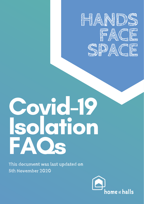# Covid-19 Isolation FAQs





# **This document was last updated on 5th November 2020**

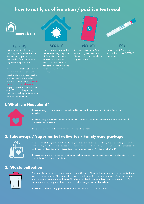on the [Home](https://homeathalls.com/#/public) at Halls app by updating your Covid status, the Home at Halls app can be downloaded from the Google Play Store or Apple Store.

Please ensure that you keep your Covid status up to date on the app, including when you receive your test results and whether your symptoms worsen. Please do not create a new submission, simply update the case you have open. You can also provide updates by calling our Reception team on 0115 9518670.



through the NHS [website](https://www.nhs.uk/conditions/coronavirus-covid-19/testing-and-tracing/get-a-test-to-check-if-you-have-coronavirus/) if you think you have COVID-19 symptoms.

if you or anyone in your flat are experiencing [symptoms](https://www.nhs.uk/conditions/coronavirus-covid-19/symptoms/) of Covid-19 or they have received a positive test result. You should not visit any of the communal areas on site if you are self isolating.



#### **[TELL](https://homeathalls.com/#/public) US ISOLATE NOTIFY TEST**

the University of your Covid status using their web [form.](https://forms.office.com/Pages/ResponsePage.aspx?id=7qe9Z4D970GskTWEGCkKHmsylA2Uj2JJirUYa1nVaEBUOU5PNzNCN1dLREJMV0hWMlNNTTZZNVdIVSQlQCN0PWcu) This will then alert the relevant support teams.



# 2. Takeaways / Supermarket deliveries / Family care package



# How to notify us of isolation / positive test result



Please contact Reception on 0115 9518670 if you place a food order for delivery / are expecting a delivery from a family member, so we can assist the driver with access to your flat/room. This should be addressed to our Reception (Broadgate Park Reception, Turnpike Lane, Beeston, Nottingham, NG9 2RX).

If you require any over the counter medication such as paracetamol, please make sure you include this in your food delivery / family care package.

#### 3. Waste collection



During self isolation, we will provide you with clear bin liners. All waste from your room, kitchen and bathroom must be double bagged. Where possible please separate recycling and general waste. We will collect your rubbish bags from outside your flat on a Monday, your rubbish bags must be placed outside your flat / studio by 9am on this day. Any rubbish not correctly double bagged with not be collected.

If you need additional bags please contact the main reception on 0115 951 8670.

#### 1. What is a Household?



If you are living in an ensuite room with shared kitchen facilities, everyone within this flat is one household.

If you are living in standard accommodation with shared bathroom and kitchen facilities, everyone within this flat is one household.

If you are living in a studio room, this becomes one household.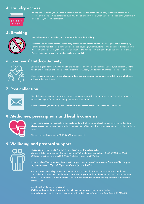Please contact the on-site Warden & Tutor team using the details below; Warden & Tutor team Monday-Sunday, between 9:30pm to 5am on numbers: 07880 092658 or 07880

#### 092659. For Albion House: 07880 092660, Cloister House: 07980961820

Join our online Meet Your [Neighbour](https://teams.microsoft.com/dl/launcher/launcher.html?url=%2F_%23%2Fl%2Fchannel%2F19%3A7d7a5ba51e3949cca57a963c7a799e17%40thread.tacv2%2FMeet%2520your%2520neighbour%25202020-2021%3FgroupId%3D1aba1739-5140-4b97-8c34-e40bca2f5dd8%26tenantId%3D67bda7ee-fd80-41ef-ac91-358418290a1e&type=channel&deeplinkId=bf370dda-3327-40f6-bbc5-5e90731bdb81&directDl=true&msLaunch=true&enableMobilePage=true&suppressPrompt=true) weekly drop-in sessions every Thursday until December 17th, drop in anytime between 6.30pm - 7.30pm using Teams (Microsoft O365).

The University Counselling Service is accessible to you if you think it may be of benefit to speak to a Counsellor. To access this complete our short online registration form, then email the service with contact details. A member of the admin team will contact the client and arrange the [appointment.](https://www.nottingham.ac.uk/counselling/student-counselling/register-for-a-consultation.aspx) Student selfreferral form

#### Useful numbers to also be aware of:

Call Samaritanson 116 123 if you want to talk to someone about how you are feeling University Mental Health Advisory Service operate a duty service(Mon-Friday 9am-5pm)0115 7484652

# 5. Smoking



Please be aware that smoking is not permitted inside the building.

Students can leave their room / flat if they wish to smoke. Please ensure you wash your hands thoroughly before leaving the flat / corridor and wear a face covering whilst travelling to the designated smoking area. Please minimise contact with surfaces and return to the flat as soon as finished wearing a face covering. Please thoroughly wash your hands on return to the flat.

## 6. Exercise / Outdoor Activity



Exercise is good for your mental health. During self isolation you can exercise in your own bedroom, visit the health and wellbeing at home information from the University Sports Department for some [exercise](https://www.nottingham.ac.uk/sport/health-and-wellbeing-home.aspx) ideas.

Discussions are underway to establish an outdoor exercise programme, as soon as details are available, we will share these with you.

## 7. Post collection



Mail delivered to your mailbox should be left there until your self isolation period ends. We will endeavour to deliver this to your flat / studio during your period of isolation.

If for any reason you need urgent access to your mail please contact Reception on 0115 9518670.

#### 8. Medicines, prescriptions and health concerns



If you require essential medications i.e. insulin or items that would be classified as controlled medication, please ensure that you are registered with Cripps Health Centre so that we can support delivery to your flat / room.

Please contact Reception on 0115 9518670 to arrange this.

## 9. Wellbeing and pastoral support



## 4. Laundry access



During self isolation, you will not be permitted to access the communal laundry facilities either in your

designated block or main amenities building. If you have any urgent washing to do, please hand wash this in

your sink in your room/bathroom.